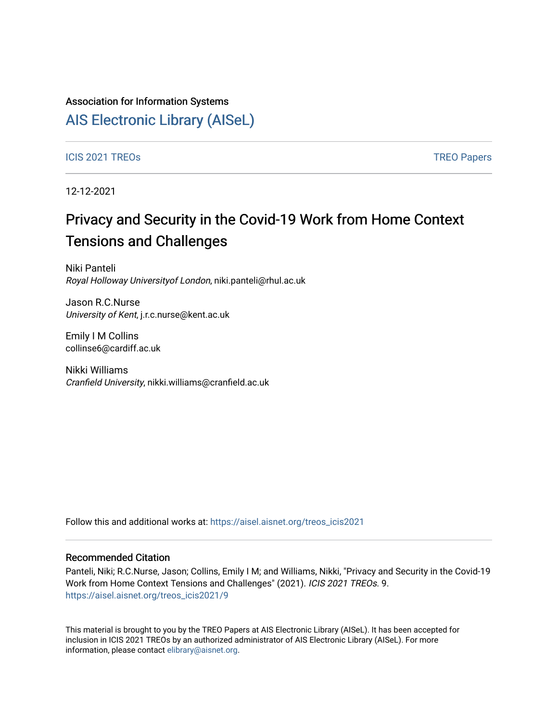## Association for Information Systems

## [AIS Electronic Library \(AISeL\)](https://aisel.aisnet.org/)

### ICIS 2021 TREOS Notes that the contract of the contract of the contract of the contract of the contract of the contract of the contract of the contract of the contract of the contract of the contract of the contract of the

12-12-2021

# Privacy and Security in the Covid-19 Work from Home Context Tensions and Challenges

Niki Panteli Royal Holloway Universityof London, niki.panteli@rhul.ac.uk

Jason R.C.Nurse University of Kent, j.r.c.nurse@kent.ac.uk

Emily I M Collins collinse6@cardiff.ac.uk

Nikki Williams Cranfield University, nikki.williams@cranfield.ac.uk

Follow this and additional works at: [https://aisel.aisnet.org/treos\\_icis2021](https://aisel.aisnet.org/treos_icis2021?utm_source=aisel.aisnet.org%2Ftreos_icis2021%2F9&utm_medium=PDF&utm_campaign=PDFCoverPages) 

### Recommended Citation

Panteli, Niki; R.C.Nurse, Jason; Collins, Emily I M; and Williams, Nikki, "Privacy and Security in the Covid-19 Work from Home Context Tensions and Challenges" (2021). ICIS 2021 TREOs. 9. [https://aisel.aisnet.org/treos\\_icis2021/9](https://aisel.aisnet.org/treos_icis2021/9?utm_source=aisel.aisnet.org%2Ftreos_icis2021%2F9&utm_medium=PDF&utm_campaign=PDFCoverPages) 

This material is brought to you by the TREO Papers at AIS Electronic Library (AISeL). It has been accepted for inclusion in ICIS 2021 TREOs by an authorized administrator of AIS Electronic Library (AISeL). For more information, please contact [elibrary@aisnet.org.](mailto:elibrary@aisnet.org%3E)